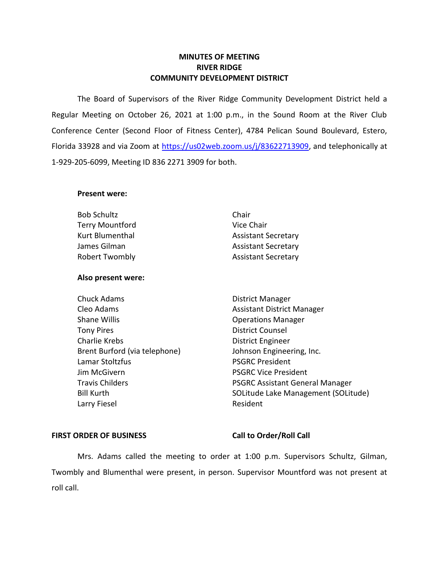## **MINUTES OF MEETING RIVER RIDGE COMMUNITY DEVELOPMENT DISTRICT**

 The Board of Supervisors of the River Ridge Community Development District held a Regular Meeting on October 26, 2021 at 1:00 p.m., in the Sound Room at the River Club Conference Center (Second Floor of Fitness Center), 4784 Pelican Sound Boulevard, Estero, Florida 33928 and via Zoom at [https://us02web.zoom.us/j/83622713909,](https://us02web.zoom.us/j/83622713909) and telephonically at 1-929-205-6099, Meeting ID 836 2271 3909 for both.

## **Present were:**

| <b>Bob Schultz</b>     | Chair                      |
|------------------------|----------------------------|
| <b>Terry Mountford</b> | Vice Chair                 |
| Kurt Blumenthal        | <b>Assistant Secretary</b> |
| James Gilman           | <b>Assistant Secretary</b> |
| <b>Robert Twombly</b>  | <b>Assistant Secretary</b> |

## **Also present were:**

Chuck Adams **District Manager** Cleo Adams **Assistant District Manager** Assistant District Manager Shane Willis **Shane Willis Conserversity Operations Manager** Tony Pires **District Counsel** Charlie Krebs **District Engineer** Brent Burford (via telephone) Johnson Engineering, Inc. Lamar Stoltzfus **PSGRC President Jim McGivern**  PSGRC Vice President Larry Fiesel **Resident** Resident

Travis Childers **PSGRC Assistant General Manager** Bill Kurth SOLITUDE SOLITUDE Lake Management (SOLITUDE)

## FIRST ORDER OF BUSINESS Call to Order/Roll Call

 Mrs. Adams called the meeting to order at 1:00 p.m. Supervisors Schultz, Gilman, Twombly and Blumenthal were present, in person. Supervisor Mountford was not present at roll call.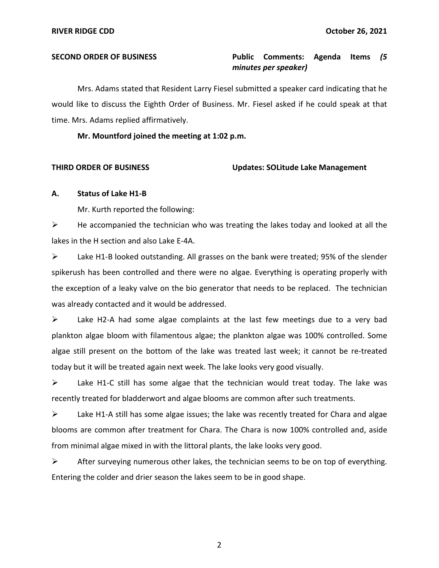### **Public Comments: SECOND ORDER OF BUSINESS Public Comments: Agenda Items** *(5 minutes per speaker)*

Mrs. Adams stated that Resident Larry Fiesel submitted a speaker card indicating that he would like to discuss the Eighth Order of Business. Mr. Fiesel asked if he could speak at that time. Mrs. Adams replied affirmatively.

**Mr. Mountford joined the meeting at 1:02 p.m.** 

## **THIRD ORDER OF BUSINESS Updates: SOLitude Lake Management**

## **A. Status of Lake H1-B**

Mr. Kurth reported the following:

 $\triangleright$  He accompanied the technician who was treating the lakes today and looked at all the lakes in the H section and also Lake E-4A.

➢ Lake H1-B looked outstanding. All grasses on the bank were treated; 95% of the slender spikerush has been controlled and there were no algae. Everything is operating properly with the exception of a leaky valve on the bio generator that needs to be replaced. The technician was already contacted and it would be addressed.

 $\triangleright$  Lake H2-A had some algae complaints at the last few meetings due to a very bad plankton algae bloom with filamentous algae; the plankton algae was 100% controlled. Some algae still present on the bottom of the lake was treated last week; it cannot be re-treated today but it will be treated again next week. The lake looks very good visually.

 $\triangleright$  Lake H1-C still has some algae that the technician would treat today. The lake was recently treated for bladderwort and algae blooms are common after such treatments.

➢ Lake H1-A still has some algae issues; the lake was recently treated for Chara and algae blooms are common after treatment for Chara. The Chara is now 100% controlled and, aside from minimal algae mixed in with the littoral plants, the lake looks very good.

 $\triangleright$  After surveying numerous other lakes, the technician seems to be on top of everything. Entering the colder and drier season the lakes seem to be in good shape.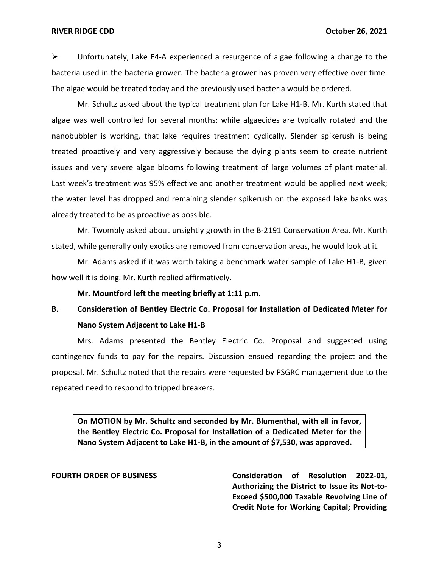### RIVER RIDGE CDD **October 26, 2021**

 $\triangleright$  Unfortunately, Lake E4-A experienced a resurgence of algae following a change to the bacteria used in the bacteria grower. The bacteria grower has proven very effective over time. The algae would be treated today and the previously used bacteria would be ordered.

Mr. Schultz asked about the typical treatment plan for Lake H1-B. Mr. Kurth stated that algae was well controlled for several months; while algaecides are typically rotated and the nanobubbler is working, that lake requires treatment cyclically. Slender spikerush is being treated proactively and very aggressively because the dying plants seem to create nutrient issues and very severe algae blooms following treatment of large volumes of plant material. Last week's treatment was 95% effective and another treatment would be applied next week; the water level has dropped and remaining slender spikerush on the exposed lake banks was already treated to be as proactive as possible.

Mr. Twombly asked about unsightly growth in the B-2191 Conservation Area. Mr. Kurth stated, while generally only exotics are removed from conservation areas, he would look at it.

Mr. Adams asked if it was worth taking a benchmark water sample of Lake H1-B, given how well it is doing. Mr. Kurth replied affirmatively.

**Mr. Mountford left the meeting briefly at 1:11 p.m.** 

# **B. Consideration of Bentley Electric Co. Proposal for Installation of Dedicated Meter for Nano System Adjacent to Lake H1-B**

Mrs. Adams presented the Bentley Electric Co. Proposal and suggested using contingency funds to pay for the repairs. Discussion ensued regarding the project and the proposal. Mr. Schultz noted that the repairs were requested by PSGRC management due to the repeated need to respond to tripped breakers.

 **On MOTION by Mr. Schultz and seconded by Mr. Blumenthal, with all in favor, the Bentley Electric Co. Proposal for Installation of a Dedicated Meter for the Nano System Adjacent to Lake H1-B, in the amount of \$7,530, was approved.** 

FOURTH ORDER OF BUSINESS **Consideration of Resolution 2022-01**,  **Authorizing the District to Issue its Not-to- Exceed \$500,000 Taxable Revolving Line of Credit Note for Working Capital; Providing**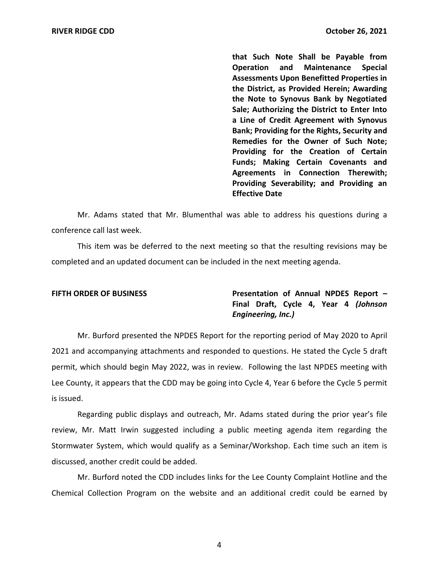**that Such Note Shall be Payable from Operation Assessments Upon Benefitted Properties in the District, as Provided Herein; Awarding the Note to Synovus Bank by Negotiated Sale; Authorizing the District to Enter Into a Line of Credit Agreement with Synovus Bank; Providing for the Rights, Security and Remedies for the Owner of Such Note; Providing for the Creation of Certain Funds; Making Certain Covenants and Agreements in Connection Therewith; Providing Severability; and Providing an**  and Maintenance Special **Effective Date** 

Mr. Adams stated that Mr. Blumenthal was able to address his questions during a conference call last week.

 This item was be deferred to the next meeting so that the resulting revisions may be completed and an updated document can be included in the next meeting agenda.

**FIFTH ORDER OF BUSINESS** *Presentation of Annual NPDES Report –*  **Final Draft, Cycle 4, Year 4** *(Johnson Engineering, Inc.)* 

Mr. Burford presented the NPDES Report for the reporting period of May 2020 to April 2021 and accompanying attachments and responded to questions. He stated the Cycle 5 draft permit, which should begin May 2022, was in review. Following the last NPDES meeting with Lee County, it appears that the CDD may be going into Cycle 4, Year 6 before the Cycle 5 permit is issued.

Regarding public displays and outreach, Mr. Adams stated during the prior year's file review, Mr. Matt Irwin suggested including a public meeting agenda item regarding the Stormwater System, which would qualify as a Seminar/Workshop. Each time such an item is discussed, another credit could be added.

Mr. Burford noted the CDD includes links for the Lee County Complaint Hotline and the Chemical Collection Program on the website and an additional credit could be earned by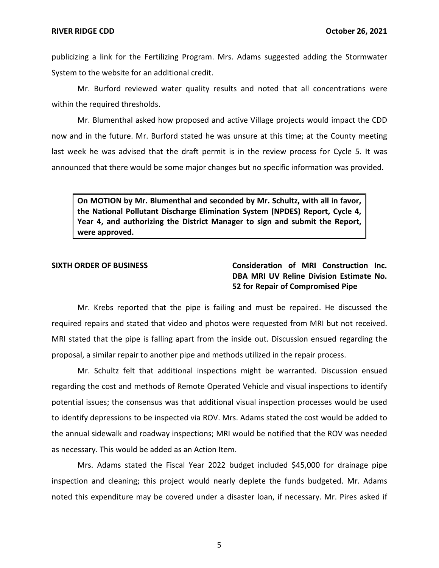publicizing a link for the Fertilizing Program. Mrs. Adams suggested adding the Stormwater System to the website for an additional credit.

Mr. Burford reviewed water quality results and noted that all concentrations were within the required thresholds.

Mr. Blumenthal asked how proposed and active Village projects would impact the CDD now and in the future. Mr. Burford stated he was unsure at this time; at the County meeting last week he was advised that the draft permit is in the review process for Cycle 5. It was announced that there would be some major changes but no specific information was provided.

 **On MOTION by Mr. Blumenthal and seconded by Mr. Schultz, with all in favor, the National Pollutant Discharge Elimination System (NPDES) Report, Cycle 4, Year 4, and authorizing the District Manager to sign and submit the Report, were approved.** 

 **SIXTH ORDER OF BUSINESS Consideration of MRI Construction Inc. DBA MRI UV Reline Division Estimate No. 52 for Repair of Compromised Pipe** 

Mr. Krebs reported that the pipe is failing and must be repaired. He discussed the required repairs and stated that video and photos were requested from MRI but not received. MRI stated that the pipe is falling apart from the inside out. Discussion ensued regarding the proposal, a similar repair to another pipe and methods utilized in the repair process.

Mr. Schultz felt that additional inspections might be warranted. Discussion ensued regarding the cost and methods of Remote Operated Vehicle and visual inspections to identify potential issues; the consensus was that additional visual inspection processes would be used to identify depressions to be inspected via ROV. Mrs. Adams stated the cost would be added to the annual sidewalk and roadway inspections; MRI would be notified that the ROV was needed as necessary. This would be added as an Action Item.

Mrs. Adams stated the Fiscal Year 2022 budget included \$45,000 for drainage pipe inspection and cleaning; this project would nearly deplete the funds budgeted. Mr. Adams noted this expenditure may be covered under a disaster loan, if necessary. Mr. Pires asked if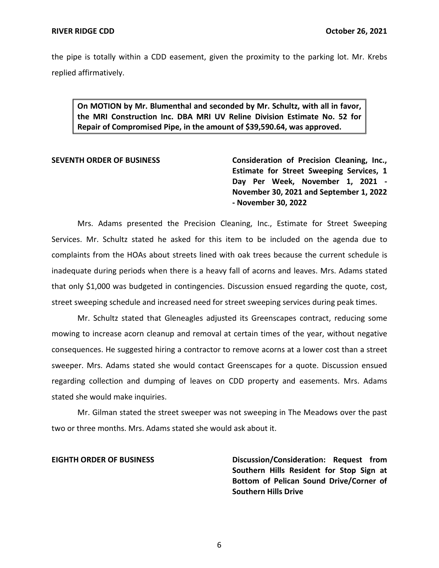the pipe is totally within a CDD easement, given the proximity to the parking lot. Mr. Krebs replied affirmatively.

 **On MOTION by Mr. Blumenthal and seconded by Mr. Schultz, with all in favor, the MRI Construction Inc. DBA MRI UV Reline Division Estimate No. 52 for Repair of Compromised Pipe, in the amount of \$[39,590.64](https://39,590.64), was approved.** 

SEVENTH ORDER OF BUSINESS **Consideration of Precision Cleaning, Inc., Estimate for Street Sweeping Services, 1 Day Per Week, November 1, 2021 - November 30, 2021 and September 1, 2022 - November 30, 2022** 

 Mrs. Adams presented the Precision Cleaning, Inc., Estimate for Street Sweeping Services. Mr. Schultz stated he asked for this item to be included on the agenda due to complaints from the HOAs about streets lined with oak trees because the current schedule is inadequate during periods when there is a heavy fall of acorns and leaves. Mrs. Adams stated that only \$1,000 was budgeted in contingencies. Discussion ensued regarding the quote, cost, street sweeping schedule and increased need for street sweeping services during peak times.

Mr. Schultz stated that Gleneagles adjusted its Greenscapes contract, reducing some mowing to increase acorn cleanup and removal at certain times of the year, without negative consequences. He suggested hiring a contractor to remove acorns at a lower cost than a street sweeper. Mrs. Adams stated she would contact Greenscapes for a quote. Discussion ensued regarding collection and dumping of leaves on CDD property and easements. Mrs. Adams stated she would make inquiries.

Mr. Gilman stated the street sweeper was not sweeping in The Meadows over the past two or three months. Mrs. Adams stated she would ask about it.

 **EIGHTH ORDER OF BUSINESS Discussion/Consideration: Request from Southern Hills Resident for Stop Sign at Bottom of Pelican Sound Drive/Corner of Southern Hills Drive**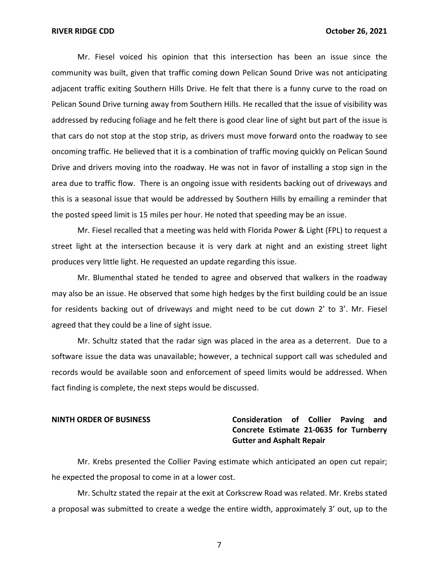### RIVER RIDGE CDD **October 26, 2021**

Mr. Fiesel voiced his opinion that this intersection has been an issue since the community was built, given that traffic coming down Pelican Sound Drive was not anticipating adjacent traffic exiting Southern Hills Drive. He felt that there is a funny curve to the road on Pelican Sound Drive turning away from Southern Hills. He recalled that the issue of visibility was addressed by reducing foliage and he felt there is good clear line of sight but part of the issue is that cars do not stop at the stop strip, as drivers must move forward onto the roadway to see oncoming traffic. He believed that it is a combination of traffic moving quickly on Pelican Sound Drive and drivers moving into the roadway. He was not in favor of installing a stop sign in the area due to traffic flow. There is an ongoing issue with residents backing out of driveways and this is a seasonal issue that would be addressed by Southern Hills by emailing a reminder that the posted speed limit is 15 miles per hour. He noted that speeding may be an issue.

Mr. Fiesel recalled that a meeting was held with Florida Power & Light (FPL) to request a street light at the intersection because it is very dark at night and an existing street light produces very little light. He requested an update regarding this issue.

Mr. Blumenthal stated he tended to agree and observed that walkers in the roadway may also be an issue. He observed that some high hedges by the first building could be an issue for residents backing out of driveways and might need to be cut down 2' to 3'. Mr. Fiesel agreed that they could be a line of sight issue.

Mr. Schultz stated that the radar sign was placed in the area as a deterrent. Due to a software issue the data was unavailable; however, a technical support call was scheduled and records would be available soon and enforcement of speed limits would be addressed. When fact finding is complete, the next steps would be discussed.

## **NINTH ORDER OF BUSINESS Consideration of Collier Paving and Concrete Estimate 21-0635 for Turnberry Gutter and Asphalt Repair**

Mr. Krebs presented the Collier Paving estimate which anticipated an open cut repair; he expected the proposal to come in at a lower cost.

Mr. Schultz stated the repair at the exit at Corkscrew Road was related. Mr. Krebs stated a proposal was submitted to create a wedge the entire width, approximately 3' out, up to the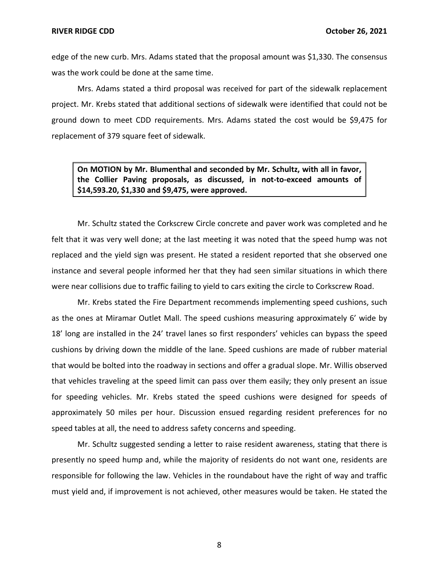edge of the new curb. Mrs. Adams stated that the proposal amount was \$1,330. The consensus was the work could be done at the same time.

Mrs. Adams stated a third proposal was received for part of the sidewalk replacement project. Mr. Krebs stated that additional sections of sidewalk were identified that could not be ground down to meet CDD requirements. Mrs. Adams stated the cost would be \$9,475 for replacement of 379 square feet of sidewalk.

 **On MOTION by Mr. Blumenthal and seconded by Mr. Schultz, with all in favor, the Collier Paving proposals, as discussed, in not-to-exceed amounts of [\\$14,593.20](https://14,593.20), \$1,330 and \$9,475, were approved.** 

Mr. Schultz stated the Corkscrew Circle concrete and paver work was completed and he felt that it was very well done; at the last meeting it was noted that the speed hump was not replaced and the yield sign was present. He stated a resident reported that she observed one instance and several people informed her that they had seen similar situations in which there were near collisions due to traffic failing to yield to cars exiting the circle to Corkscrew Road.

Mr. Krebs stated the Fire Department recommends implementing speed cushions, such as the ones at Miramar Outlet Mall. The speed cushions measuring approximately 6' wide by 18' long are installed in the 24' travel lanes so first responders' vehicles can bypass the speed cushions by driving down the middle of the lane. Speed cushions are made of rubber material that would be bolted into the roadway in sections and offer a gradual slope. Mr. Willis observed that vehicles traveling at the speed limit can pass over them easily; they only present an issue for speeding vehicles. Mr. Krebs stated the speed cushions were designed for speeds of approximately 50 miles per hour. Discussion ensued regarding resident preferences for no speed tables at all, the need to address safety concerns and speeding.

Mr. Schultz suggested sending a letter to raise resident awareness, stating that there is presently no speed hump and, while the majority of residents do not want one, residents are responsible for following the law. Vehicles in the roundabout have the right of way and traffic must yield and, if improvement is not achieved, other measures would be taken. He stated the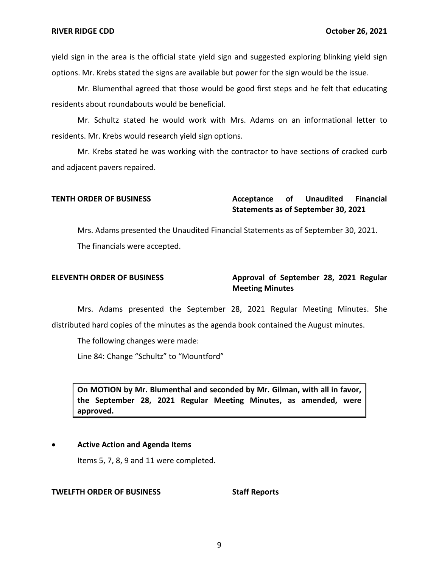yield sign in the area is the official state yield sign and suggested exploring blinking yield sign options. Mr. Krebs stated the signs are available but power for the sign would be the issue.

Mr. Blumenthal agreed that those would be good first steps and he felt that educating residents about roundabouts would be beneficial.

Mr. Schultz stated he would work with Mrs. Adams on an informational letter to residents. Mr. Krebs would research yield sign options.

Mr. Krebs stated he was working with the contractor to have sections of cracked curb and adjacent pavers repaired.

```
Acceptance

Statements as of September 30, 2021 
TENTH ORDER OF BUSINESS CONSUMING Acceptance of Unaudited Financial
```
 Mrs. Adams presented the Unaudited Financial Statements as of September 30, 2021. The financials were accepted.

## ELEVENTH ORDER OF BUSINESS **Approval of September 28, 2021 Regular Meeting Minutes**

Mrs. Adams presented the September 28, 2021 Regular Meeting Minutes. She distributed hard copies of the minutes as the agenda book contained the August minutes.

The following changes were made:

Line 84: Change "Schultz" to "Mountford"

 **On MOTION by Mr. Blumenthal and seconded by Mr. Gilman, with all in favor, the September 28, 2021 Regular Meeting Minutes, as amended, were approved.** 

## • **Active Action and Agenda Items**

Items 5, 7, 8, 9 and 11 were completed.

### **TWELFTH ORDER OF BUSINESS STATE STAFF REPORTS**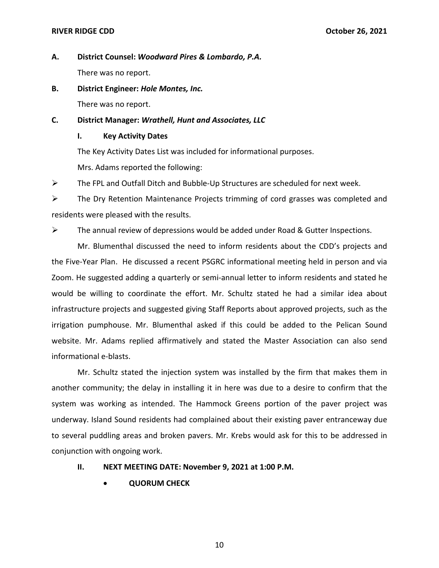## RIVER RIDGE CDD **October 26, 2021**

- **A. District Counsel:** *Woodward Pires & Lombardo, P.A.*  There was no report.
- **B. District Engineer:** *Hole Montes, Inc.*

There was no report.

 **C. District Manager:** *Wrathell, Hunt and Associates, LLC* 

## **I. Key Activity Dates**

The Key Activity Dates List was included for informational purposes.

Mrs. Adams reported the following:

 $\triangleright$  The FPL and Outfall Ditch and Bubble-Up Structures are scheduled for next week.

➢ The Dry Retention Maintenance Projects trimming of cord grasses was completed and residents were pleased with the results.

 $\triangleright$  The annual review of depressions would be added under Road & Gutter Inspections.

Mr. Blumenthal discussed the need to inform residents about the CDD's projects and the Five-Year Plan. He discussed a recent PSGRC informational meeting held in person and via Zoom. He suggested adding a quarterly or semi-annual letter to inform residents and stated he would be willing to coordinate the effort. Mr. Schultz stated he had a similar idea about infrastructure projects and suggested giving Staff Reports about approved projects, such as the irrigation pumphouse. Mr. Blumenthal asked if this could be added to the Pelican Sound website. Mr. Adams replied affirmatively and stated the Master Association can also send informational e-blasts.

Mr. Schultz stated the injection system was installed by the firm that makes them in another community; the delay in installing it in here was due to a desire to confirm that the system was working as intended. The Hammock Greens portion of the paver project was underway. Island Sound residents had complained about their existing paver entranceway due to several puddling areas and broken pavers. Mr. Krebs would ask for this to be addressed in conjunction with ongoing work.

- **II. NEXT MEETING DATE: November 9, 2021 at 1:00 P.M.** 
	- **QUORUM CHECK**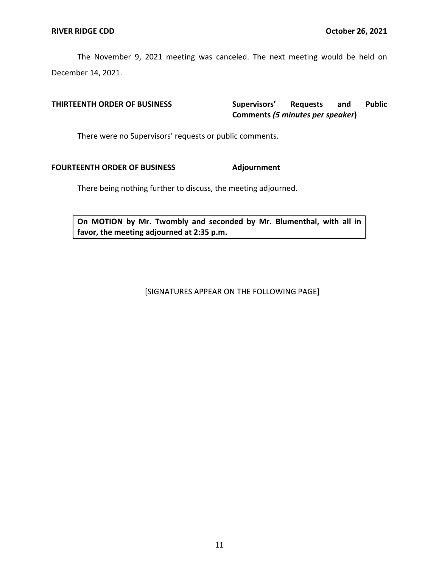The November 9, 2021 meeting was canceled. The next meeting would be held on December 14, 2021.

### and  **Comments** *(5 minutes per speaker***) THIRTEENTH ORDER OF BUSINESS Supervisors' Requests and Public**

There were no Supervisors' requests or public comments.

## **FOURTEENTH ORDER OF BUSINESS Adjournment**

There being nothing further to discuss, the meeting adjourned.

 **On MOTION by Mr. Twombly and seconded by Mr. Blumenthal, with all in favor, the meeting adjourned at 2:35 p.m.** 

[SIGNATURES APPEAR ON THE FOLLOWING PAGE]